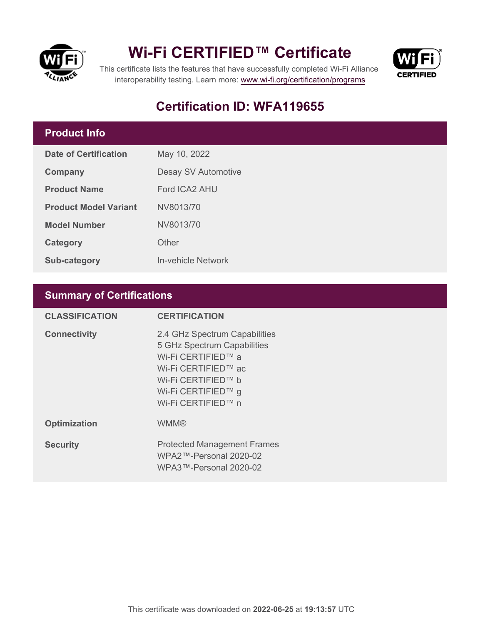

## **Wi-Fi CERTIFIED™ Certificate**



This certificate lists the features that have successfully completed Wi-Fi Alliance interoperability testing. Learn more:<www.wi-fi.org/certification/programs>

## **Certification ID: WFA119655**

### **Product Info**

| Date of Certification        | May 10, 2022        |  |
|------------------------------|---------------------|--|
| Company                      | Desay SV Automotive |  |
| <b>Product Name</b>          | Ford ICA2 AHU       |  |
| <b>Product Model Variant</b> | NV8013/70           |  |
| <b>Model Number</b>          | NV8013/70           |  |
| Category                     | Other               |  |
| <b>Sub-category</b>          | In-vehicle Network  |  |

### **Summary of Certifications**

| <b>CLASSIFICATION</b> | <b>CERTIFICATION</b>                                                                                                                                                        |
|-----------------------|-----------------------------------------------------------------------------------------------------------------------------------------------------------------------------|
| <b>Connectivity</b>   | 2.4 GHz Spectrum Capabilities<br>5 GHz Spectrum Capabilities<br>Wi-Fi CERTIFIED™ a<br>Wi-Fi CERTIFIED™ ac<br>Wi-Fi CERTIFIED™ b<br>Wi-Fi CERTIFIED™ g<br>Wi-Fi CERTIFIED™ n |
| <b>Optimization</b>   | <b>WMM®</b>                                                                                                                                                                 |
| <b>Security</b>       | <b>Protected Management Frames</b><br>$WPA2$ ™-Personal 2020-02<br>WPA3™-Personal 2020-02                                                                                   |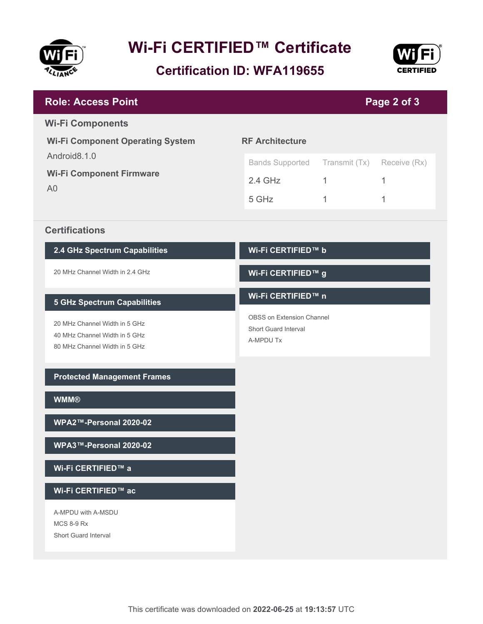

# **Wi-Fi CERTIFIED™ Certificate**

**Certification ID: WFA119655**



| <b>Role: Access Point</b>                                                                       | Page 2 of 3                                                           |               |              |  |
|-------------------------------------------------------------------------------------------------|-----------------------------------------------------------------------|---------------|--------------|--|
| <b>Wi-Fi Components</b>                                                                         |                                                                       |               |              |  |
| <b>Wi-Fi Component Operating System</b>                                                         | <b>RF Architecture</b>                                                |               |              |  |
| Android8.1.0<br><b>Wi-Fi Component Firmware</b><br>A <sub>0</sub>                               | <b>Bands Supported</b>                                                | Transmit (Tx) | Receive (Rx) |  |
|                                                                                                 | $2.4$ GHz                                                             | $\mathbf{1}$  | 1            |  |
|                                                                                                 | 5 GHz                                                                 | 1             | 1            |  |
| <b>Certifications</b>                                                                           |                                                                       |               |              |  |
| 2.4 GHz Spectrum Capabilities                                                                   | Wi-Fi CERTIFIED™ b                                                    |               |              |  |
| 20 MHz Channel Width in 2.4 GHz                                                                 | Wi-Fi CERTIFIED™ g                                                    |               |              |  |
| <b>5 GHz Spectrum Capabilities</b>                                                              | Wi-Fi CERTIFIED™ n                                                    |               |              |  |
| 20 MHz Channel Width in 5 GHz<br>40 MHz Channel Width in 5 GHz<br>80 MHz Channel Width in 5 GHz | <b>OBSS on Extension Channel</b><br>Short Guard Interval<br>A-MPDU Tx |               |              |  |
| <b>Protected Management Frames</b>                                                              |                                                                       |               |              |  |
| <b>WMM®</b>                                                                                     |                                                                       |               |              |  |
| WPA2™-Personal 2020-02                                                                          |                                                                       |               |              |  |
| WPA3™-Personal 2020-02                                                                          |                                                                       |               |              |  |
| Wi-Fi CERTIFIED™ a                                                                              |                                                                       |               |              |  |
| Wi-Fi CERTIFIED™ ac                                                                             |                                                                       |               |              |  |
| A-MPDU with A-MSDU<br><b>MCS 8-9 Rx</b><br>Short Guard Interval                                 |                                                                       |               |              |  |